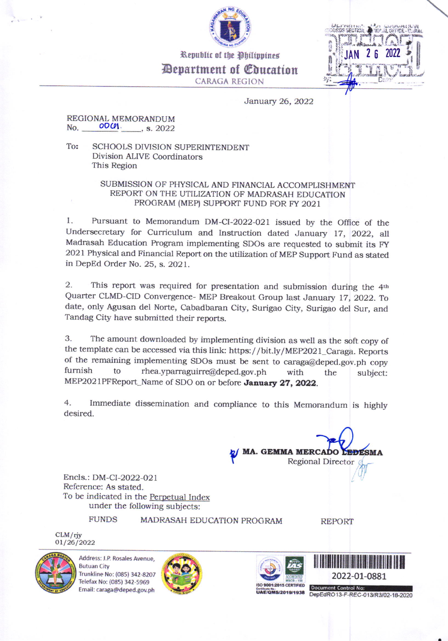

Republic of the Philippines *Pepartment of Coucation* **CARAGA REGION** 



January 26, 2022

## REGIONAL MEMORANDUM  $0001.$ , s. 2022 No.

To: **SCHOOLS DIVISION SUPERINTENDENT** Division ALIVE Coordinators This Region

## SUBMISSION OF PHYSICAL AND FINANCIAL ACCOMPLISHMENT REPORT ON THE UTILIZATION OF MADRASAH EDUCATION PROGRAM (MEP) SUPPORT FUND FOR FY 2021

Pursuant to Memorandum DM-CI-2022-021 issued by the Office of the  $1.$ Undersecretary for Curriculum and Instruction dated January 17, 2022, all Madrasah Education Program implementing SDOs are requested to submit its FY 2021 Physical and Financial Report on the utilization of MEP Support Fund as stated in DepEd Order No. 25, s. 2021.

2. This report was required for presentation and submission during the 4th Quarter CLMD-CID Convergence- MEP Breakout Group last January 17, 2022. To date, only Agusan del Norte, Cabadbaran City, Surigao City, Surigao del Sur, and Tandag City have submitted their reports.

3. The amount downloaded by implementing division as well as the soft copy of the template can be accessed via this link: https://bit.ly/MEP2021\_Caraga. Reports of the remaining implementing SDOs must be sent to caraga@deped.gov.ph copy furnish to rhea.yparraguirre@deped.gov.ph with the subject: MEP2021PFReport\_Name of SDO on or before January 27, 2022.

4. Immediate dissemination and compliance to this Memorandum is highly desired.

> **MA. GEMMA MERCADO EDESMA Regional Director**

Encls.: DM-CI-2022-021 Reference: As stated. To be indicated in the Perpetual Index under the following subjects:

**FUNDS** 

MADRASAH EDUCATION PROGRAM

**REPORT** 



 $CLM/riy$ 01/26/2022

> Address: J.P. Rosales Avenue, **Butuan City** Trunkline No: (085) 342-8207 Telefax No: (085) 342-5969 Email: caraga@deped.gov.ph





2022-01-0881

**Document Control No:** Critical No.<br>UAE/QMS/2019/1938 DepEdRO13-F-REC-013/R3/02-18-2020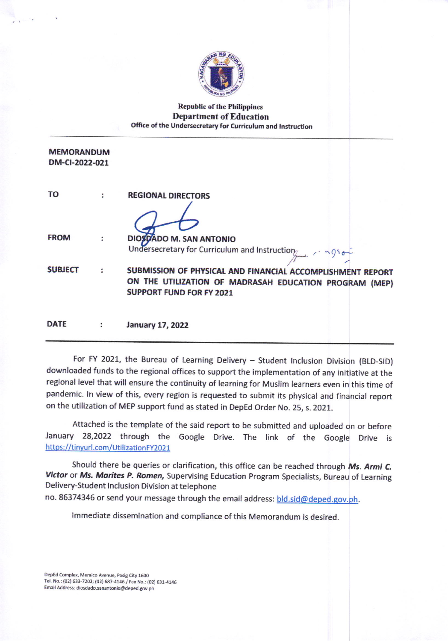

## **Republic of the Philippines Department of Education** Office of the Undersecretary for Curriculum and Instruction

| <b>MEMORANDUM</b> |  |
|-------------------|--|
| DM-CI-2022-021    |  |

| TO             |                | <b>REGIONAL DIRECTORS</b>                                                                                                                               |
|----------------|----------------|---------------------------------------------------------------------------------------------------------------------------------------------------------|
|                |                |                                                                                                                                                         |
| <b>FROM</b>    |                | DIOSOADO M. SAN ANTONIO                                                                                                                                 |
|                |                | Undersecretary for Curriculum and Instruction                                                                                                           |
| <b>SUBJECT</b> | $\star$        | SUBMISSION OF PHYSICAL AND FINANCIAL ACCOMPLISHMENT REPORT<br>ON THE UTILIZATION OF MADRASAH EDUCATION PROGRAM (MEP)<br><b>SUPPORT FUND FOR FY 2021</b> |
| <b>DATE</b>    | $\ddot{\cdot}$ | <b>January 17, 2022</b>                                                                                                                                 |

For FY 2021, the Bureau of Learning Delivery - Student Inclusion Division (BLD-SID) downloaded funds to the regional offices to support the implementation of any initiative at the regional level that will ensure the continuity of learning for Muslim learners even in this time of pandemic. In view of this, every region is requested to submit its physical and financial report on the utilization of MEP support fund as stated in DepEd Order No. 25, s. 2021.

Attached is the template of the said report to be submitted and uploaded on or before January 28,2022 through the Google Drive. The link of the Google Drive is https://tinyurl.com/UtilizationFY2021

Should there be queries or clarification, this office can be reached through Ms. Armi C. Victor or Ms. Marites P. Romen, Supervising Education Program Specialists, Bureau of Learning Delivery-Student Inclusion Division at telephone

no. 86374346 or send your message through the email address: bld.sid@deped.gov.ph.

Immediate dissemination and compliance of this Memorandum is desired.

DepEd Complex, Meralco Avenue, Pasig City 1600 Tel. No.: (02) 633-7202; (02) 687-4146 / Fax No.: (02) 631-4146 Email Address: diosdado.sanantonio@deped.gov.ph